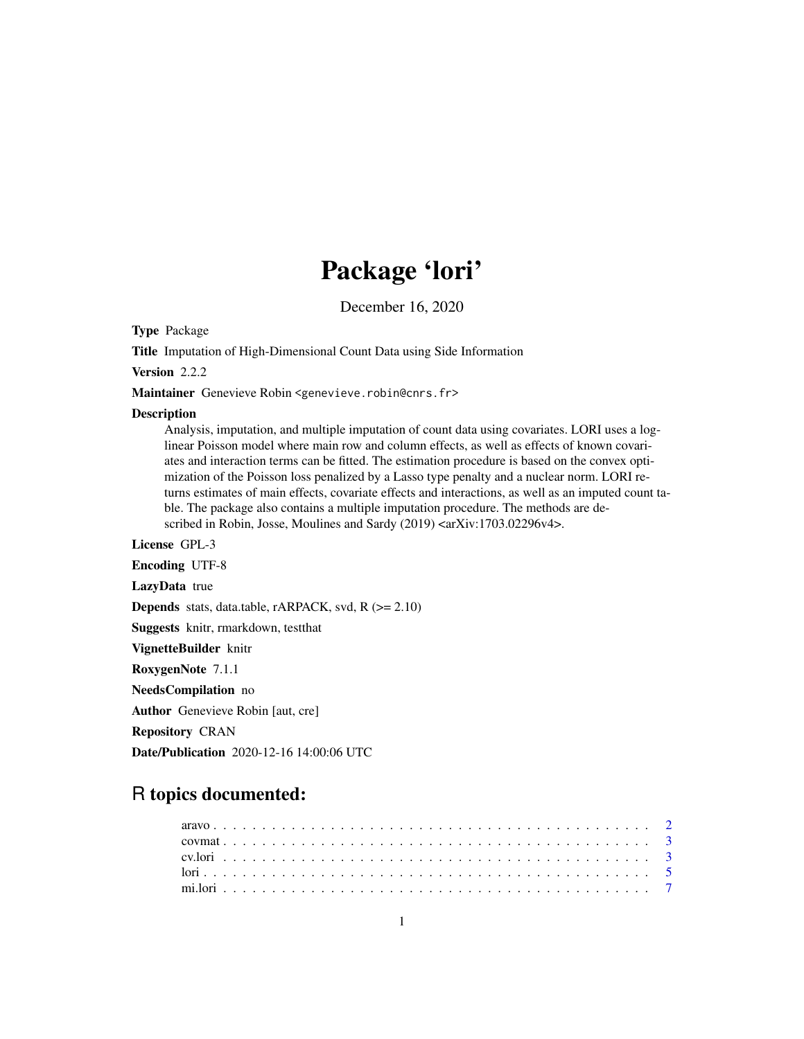# Package 'lori'

December 16, 2020

Type Package

Title Imputation of High-Dimensional Count Data using Side Information

Version 2.2.2

Maintainer Genevieve Robin <genevieve.robin@cnrs.fr>

#### **Description**

Analysis, imputation, and multiple imputation of count data using covariates. LORI uses a loglinear Poisson model where main row and column effects, as well as effects of known covariates and interaction terms can be fitted. The estimation procedure is based on the convex optimization of the Poisson loss penalized by a Lasso type penalty and a nuclear norm. LORI returns estimates of main effects, covariate effects and interactions, as well as an imputed count table. The package also contains a multiple imputation procedure. The methods are described in Robin, Josse, Moulines and Sardy (2019) <arXiv:1703.02296v4>.

License GPL-3

Encoding UTF-8

LazyData true

**Depends** stats, data.table, rARPACK, svd,  $R$  ( $>= 2.10$ )

Suggests knitr, rmarkdown, testthat

VignetteBuilder knitr

RoxygenNote 7.1.1

NeedsCompilation no

Author Genevieve Robin [aut, cre]

Repository CRAN

Date/Publication 2020-12-16 14:00:06 UTC

# R topics documented: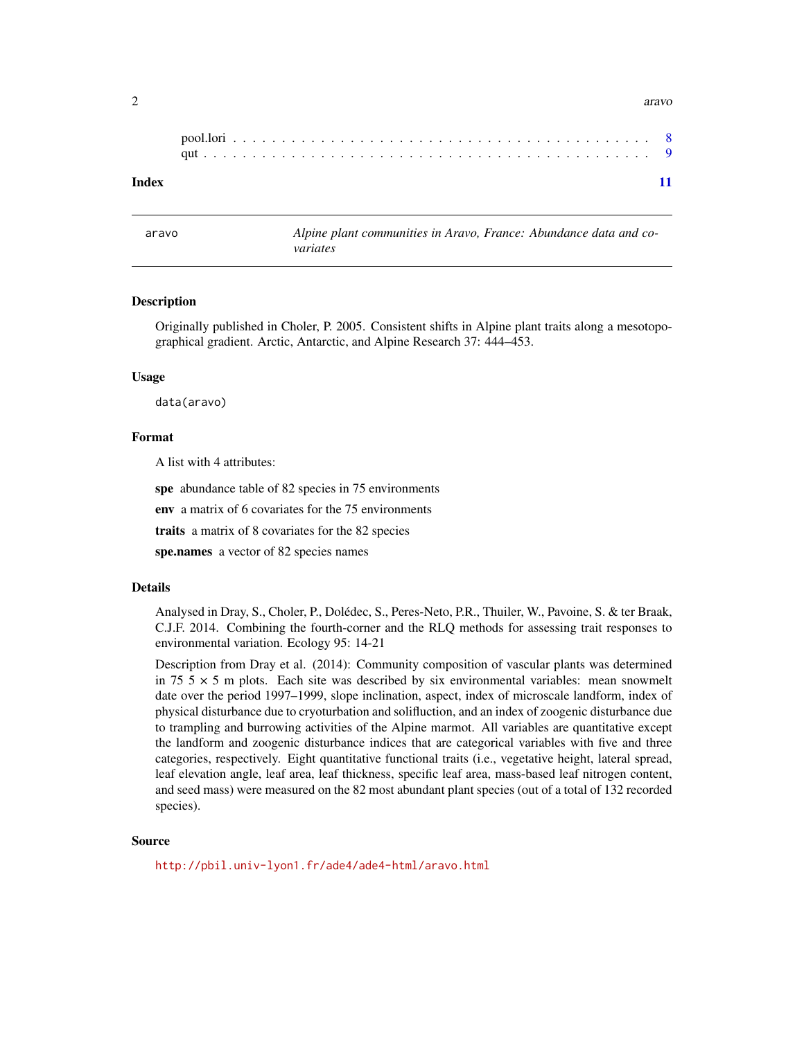<span id="page-1-0"></span>

| Index |  |  |  |  |  |  |  |  |  |  |  |  |  |  |  |  |  |  |  |  |  |
|-------|--|--|--|--|--|--|--|--|--|--|--|--|--|--|--|--|--|--|--|--|--|

aravo *Alpine plant communities in Aravo, France: Abundance data and covariates*

#### Description

Originally published in Choler, P. 2005. Consistent shifts in Alpine plant traits along a mesotopographical gradient. Arctic, Antarctic, and Alpine Research 37: 444–453.

#### Usage

data(aravo)

# Format

A list with 4 attributes:

spe abundance table of 82 species in 75 environments

env a matrix of 6 covariates for the 75 environments

traits a matrix of 8 covariates for the 82 species

spe.names a vector of 82 species names

#### Details

Analysed in Dray, S., Choler, P., Dolédec, S., Peres-Neto, P.R., Thuiler, W., Pavoine, S. & ter Braak, C.J.F. 2014. Combining the fourth-corner and the RLQ methods for assessing trait responses to environmental variation. Ecology 95: 14-21

Description from Dray et al. (2014): Community composition of vascular plants was determined in 75  $5 \times 5$  m plots. Each site was described by six environmental variables: mean snowmelt date over the period 1997–1999, slope inclination, aspect, index of microscale landform, index of physical disturbance due to cryoturbation and solifluction, and an index of zoogenic disturbance due to trampling and burrowing activities of the Alpine marmot. All variables are quantitative except the landform and zoogenic disturbance indices that are categorical variables with five and three categories, respectively. Eight quantitative functional traits (i.e., vegetative height, lateral spread, leaf elevation angle, leaf area, leaf thickness, specific leaf area, mass-based leaf nitrogen content, and seed mass) were measured on the 82 most abundant plant species (out of a total of 132 recorded species).

#### Source

<http://pbil.univ-lyon1.fr/ade4/ade4-html/aravo.html>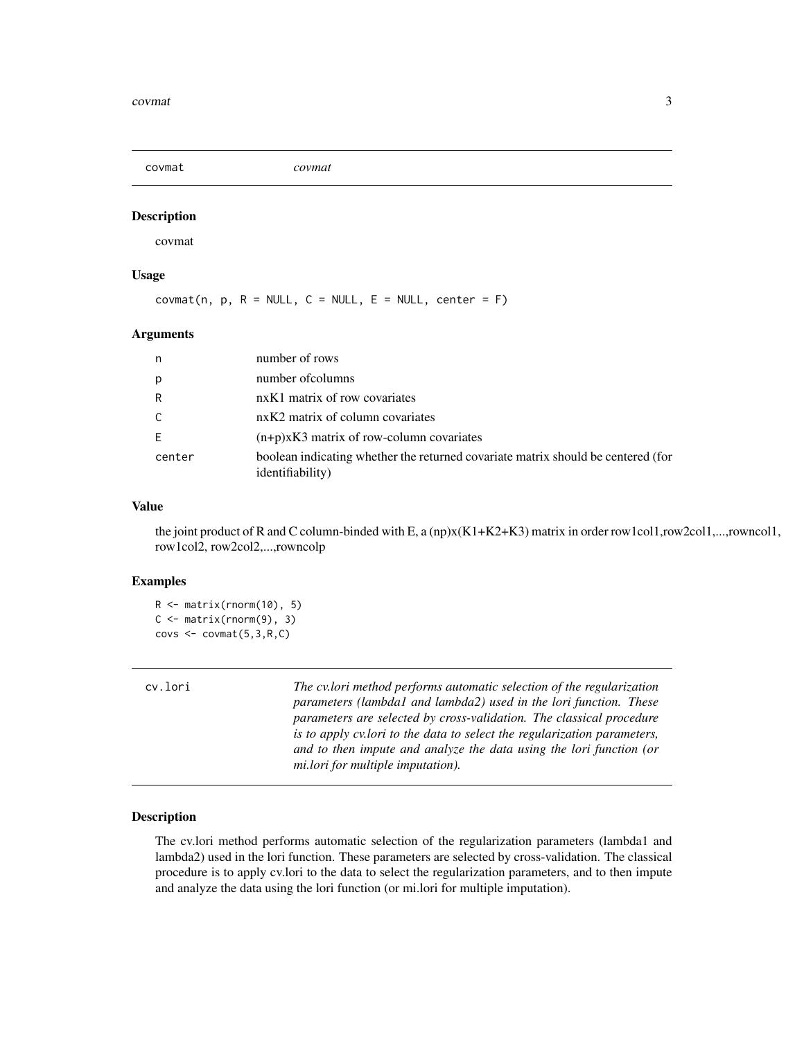<span id="page-2-0"></span>covmat *covmat*

# Description

covmat

# Usage

 $covmat(n, p, R = NULL, C = NULL, E = NULL, center = F)$ 

#### Arguments

| n      | number of rows                                                                                               |
|--------|--------------------------------------------------------------------------------------------------------------|
| p      | number of columns                                                                                            |
| R      | nxK1 matrix of row covariates                                                                                |
| C      | nxK2 matrix of column covariates                                                                             |
| E      | $(n+p)xK3$ matrix of row-column covariates                                                                   |
| center | boolean indicating whether the returned covariate matrix should be centered (for<br><i>identifiability</i> ) |

# Value

the joint product of R and C column-binded with E, a (np)x(K1+K2+K3) matrix in order row1col1,row2col1,...,rowncol1, row1col2, row2col2,...,rowncolp

## Examples

```
R <- matrix(rnorm(10), 5)
C \leq - matrix(rnorm(9), 3)
covs \leftarrow covmat(5,3,R,C)
```
cv.lori *The cv.lori method performs automatic selection of the regularization parameters (lambda1 and lambda2) used in the lori function. These parameters are selected by cross-validation. The classical procedure is to apply cv.lori to the data to select the regularization parameters, and to then impute and analyze the data using the lori function (or mi.lori for multiple imputation).*

#### **Description**

The cv.lori method performs automatic selection of the regularization parameters (lambda1 and lambda2) used in the lori function. These parameters are selected by cross-validation. The classical procedure is to apply cv.lori to the data to select the regularization parameters, and to then impute and analyze the data using the lori function (or mi.lori for multiple imputation).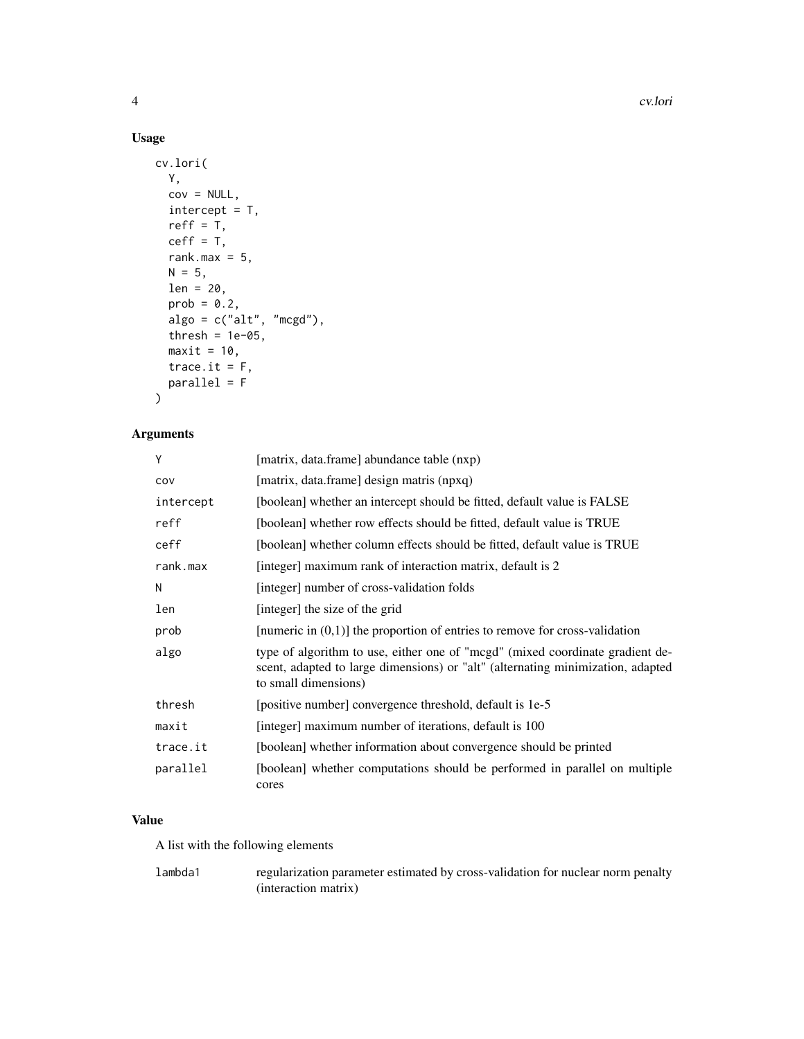4 cv.lori

# Usage

```
cv.lori(
 Y,
 cov = NULL,intercept = T,
 reff = T,
 ceff = T,
  rank.max = 5,
 N = 5,
 len = 20,prob = 0.2,
 algo = c("alt", "mcgd"),thresh = 1e-05,
 maxit = 10,
  trace.it = F,
 parallel = F
)
```
# Arguments

| Υ         | [matrix, data.frame] abundance table (nxp)                                                                                                                                               |
|-----------|------------------------------------------------------------------------------------------------------------------------------------------------------------------------------------------|
| COV       | [matrix, data.frame] design matris (npxq)                                                                                                                                                |
| intercept | [boolean] whether an intercept should be fitted, default value is FALSE                                                                                                                  |
| reff      | [boolean] whether row effects should be fitted, default value is TRUE                                                                                                                    |
| ceff      | [boolean] whether column effects should be fitted, default value is TRUE                                                                                                                 |
| rank.max  | [integer] maximum rank of interaction matrix, default is 2                                                                                                                               |
| Ν         | [integer] number of cross-validation folds                                                                                                                                               |
| len       | [integer] the size of the grid                                                                                                                                                           |
| prob      | [numeric in $(0,1)$ ] the proportion of entries to remove for cross-validation                                                                                                           |
| algo      | type of algorithm to use, either one of "mogd" (mixed coordinate gradient de-<br>scent, adapted to large dimensions) or "alt" (alternating minimization, adapted<br>to small dimensions) |
| thresh    | [positive number] convergence threshold, default is 1e-5                                                                                                                                 |
| maxit     | [integer] maximum number of iterations, default is 100                                                                                                                                   |
| trace.it  | [boolean] whether information about convergence should be printed                                                                                                                        |
| parallel  | [boolean] whether computations should be performed in parallel on multiple<br>cores                                                                                                      |

# Value

A list with the following elements

lambda1 regularization parameter estimated by cross-validation for nuclear norm penalty (interaction matrix)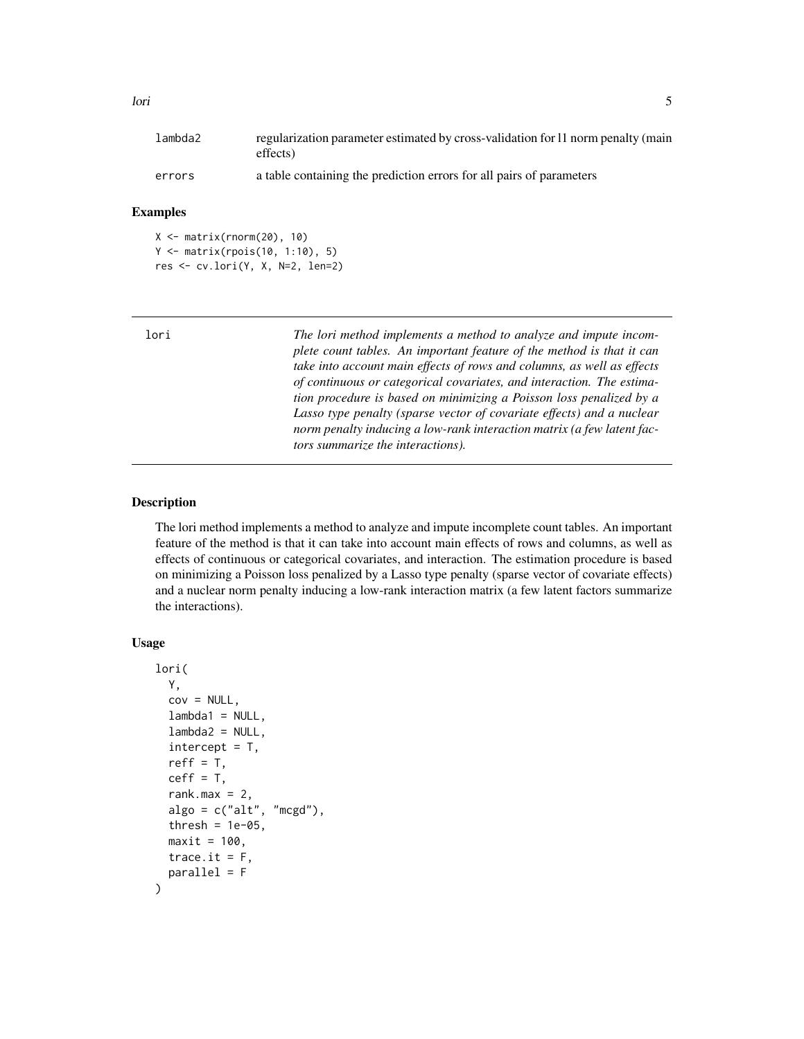<span id="page-4-0"></span>

| lambda2 | regularization parameter estimated by cross-validation for 11 norm penalty (main<br>effects) |
|---------|----------------------------------------------------------------------------------------------|
|         |                                                                                              |
| errors  | a table containing the prediction errors for all pairs of parameters                         |

# Examples

```
X <- matrix(rnorm(20), 10)
Y <- matrix(rpois(10, 1:10), 5)
res <- cv.lori(Y, X, N=2, len=2)
```

| lori | The lori method implements a method to analyze and impute incom-<br>plete count tables. An important feature of the method is that it can<br>take into account main effects of rows and columns, as well as effects<br>of continuous or categorical covariates, and interaction. The estima-<br>tion procedure is based on minimizing a Poisson loss penalized by a<br>Lasso type penalty (sparse vector of covariate effects) and a nuclear<br>norm penalty inducing a low-rank interaction matrix (a few latent fac- |
|------|------------------------------------------------------------------------------------------------------------------------------------------------------------------------------------------------------------------------------------------------------------------------------------------------------------------------------------------------------------------------------------------------------------------------------------------------------------------------------------------------------------------------|
|      | tors summarize the interactions).                                                                                                                                                                                                                                                                                                                                                                                                                                                                                      |
|      |                                                                                                                                                                                                                                                                                                                                                                                                                                                                                                                        |

# Description

The lori method implements a method to analyze and impute incomplete count tables. An important feature of the method is that it can take into account main effects of rows and columns, as well as effects of continuous or categorical covariates, and interaction. The estimation procedure is based on minimizing a Poisson loss penalized by a Lasso type penalty (sparse vector of covariate effects) and a nuclear norm penalty inducing a low-rank interaction matrix (a few latent factors summarize the interactions).

# Usage

```
lori(
  Y,
  cov = NULL,lambda1 = NULL,lambda2 = NULL,intercept = T,
  reff = T,
  ceff = T,
  rank.max = 2,
  \text{algo} = c("alt", "mcgd"),
  thresh = 1e-05,
  maxit = 100,
  trace.it = F,
  parallel = F
\mathcal{E}
```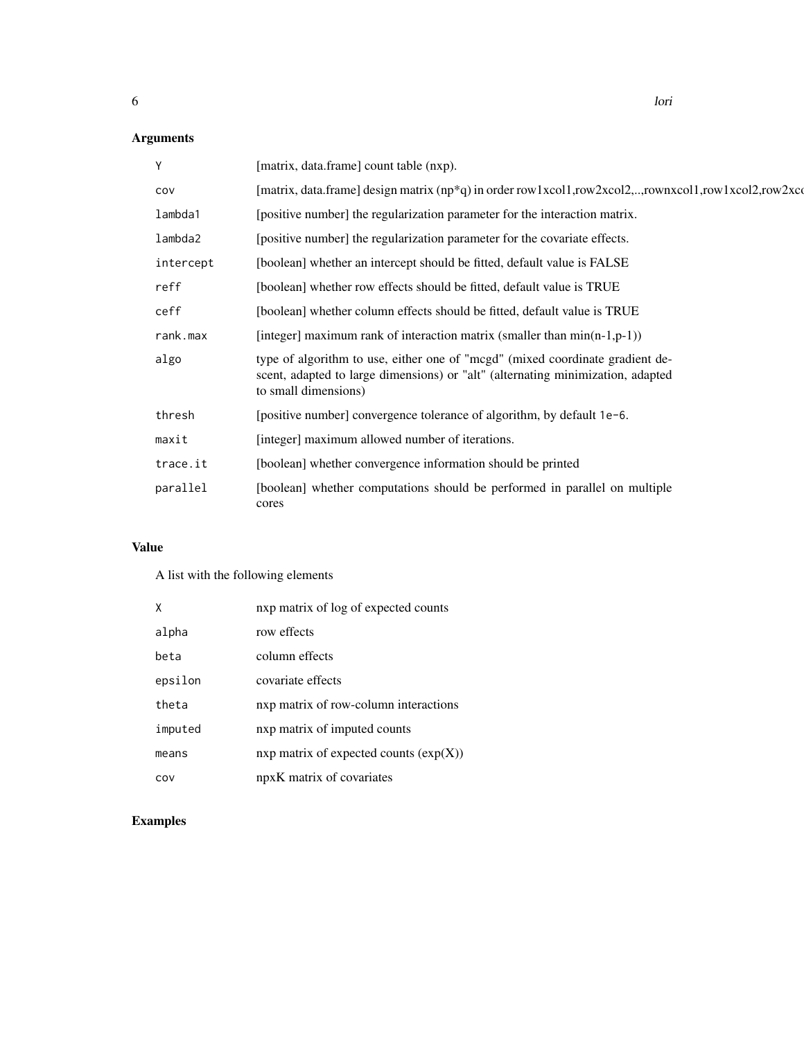# Arguments

| Y         | [matrix, data.frame] count table (nxp).                                                                                                                                                  |
|-----------|------------------------------------------------------------------------------------------------------------------------------------------------------------------------------------------|
| COV       | [matrix, data.frame] design matrix $(np^*q)$ in order row 1xcol1,row2xcol2,yownxcol1,row1xcol2,row2xcol                                                                                  |
| lambda1   | [positive number] the regularization parameter for the interaction matrix.                                                                                                               |
| lambda2   | [positive number] the regularization parameter for the covariate effects.                                                                                                                |
| intercept | [boolean] whether an intercept should be fitted, default value is FALSE                                                                                                                  |
| reff      | [boolean] whether row effects should be fitted, default value is TRUE                                                                                                                    |
| ceff      | [boolean] whether column effects should be fitted, default value is TRUE                                                                                                                 |
| rank.max  | [integer] maximum rank of interaction matrix (smaller than $min(n-1,p-1)$ )                                                                                                              |
| algo      | type of algorithm to use, either one of "mcgd" (mixed coordinate gradient de-<br>scent, adapted to large dimensions) or "alt" (alternating minimization, adapted<br>to small dimensions) |
| thresh    | [positive number] convergence tolerance of algorithm, by default 1e-6.                                                                                                                   |
| maxit     | [integer] maximum allowed number of iterations.                                                                                                                                          |
| trace.it  | [boolean] whether convergence information should be printed                                                                                                                              |
| parallel  | [boolean] whether computations should be performed in parallel on multiple<br>cores                                                                                                      |

# Value

A list with the following elements

| X       | nxp matrix of log of expected counts     |
|---------|------------------------------------------|
| alpha   | row effects                              |
| beta    | column effects                           |
| epsilon | covariate effects                        |
| theta   | nxp matrix of row-column interactions    |
| imputed | nxp matrix of imputed counts             |
| means   | nxp matrix of expected counts $(exp(X))$ |
| COV     | npxK matrix of covariates                |

# Examples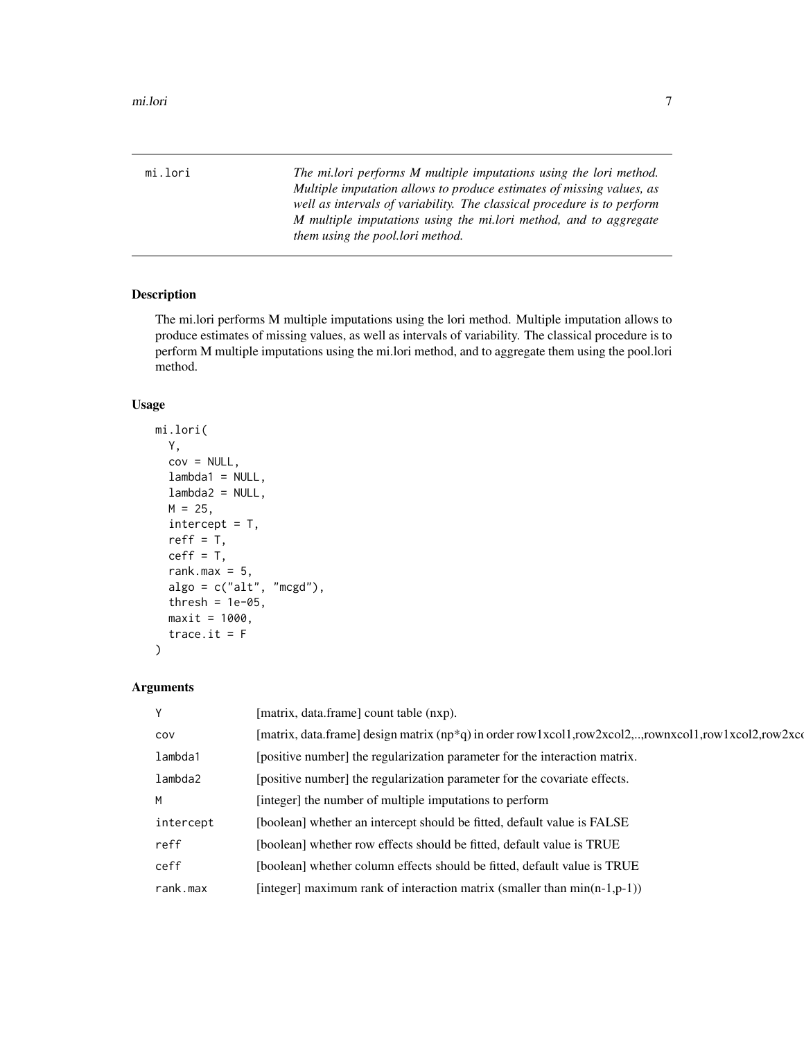<span id="page-6-0"></span>mi.lori *The mi.lori performs M multiple imputations using the lori method. Multiple imputation allows to produce estimates of missing values, as well as intervals of variability. The classical procedure is to perform M multiple imputations using the mi.lori method, and to aggregate them using the pool.lori method.*

#### Description

The mi.lori performs M multiple imputations using the lori method. Multiple imputation allows to produce estimates of missing values, as well as intervals of variability. The classical procedure is to perform M multiple imputations using the mi.lori method, and to aggregate them using the pool.lori method.

# Usage

```
mi.lori(
  Y,
  cov = NULL,lambda1 = NULL,lambda2 = NULL,
 M = 25,
  intercept = T,
  reff = T,
  ceff = T,
  rank.max = 5,
  alogo = c("alt", "mcgd"),
  thresh = 1e-05,
  maxit = 1000,
  trace.it = F\mathcal{L}
```
#### Arguments

| Υ         | [matrix, data.frame] count table (nxp).                                                                |
|-----------|--------------------------------------------------------------------------------------------------------|
| COV       | [matrix, data.frame] design matrix $(np*q)$ in order row 1xcol1,row2xcol2,,rownxcol1,row1xcol2,row2xco |
| lambda1   | [positive number] the regularization parameter for the interaction matrix.                             |
| lambda2   | [positive number] the regularization parameter for the covariate effects.                              |
| M         | [integer] the number of multiple imputations to perform                                                |
| intercept | [boolean] whether an intercept should be fitted, default value is FALSE                                |
| reff      | [boolean] whether row effects should be fitted, default value is TRUE                                  |
| ceff      | [boolean] whether column effects should be fitted, default value is TRUE                               |
| rank.max  | [integer] maximum rank of interaction matrix (smaller than $min(n-1,p-1)$ )                            |
|           |                                                                                                        |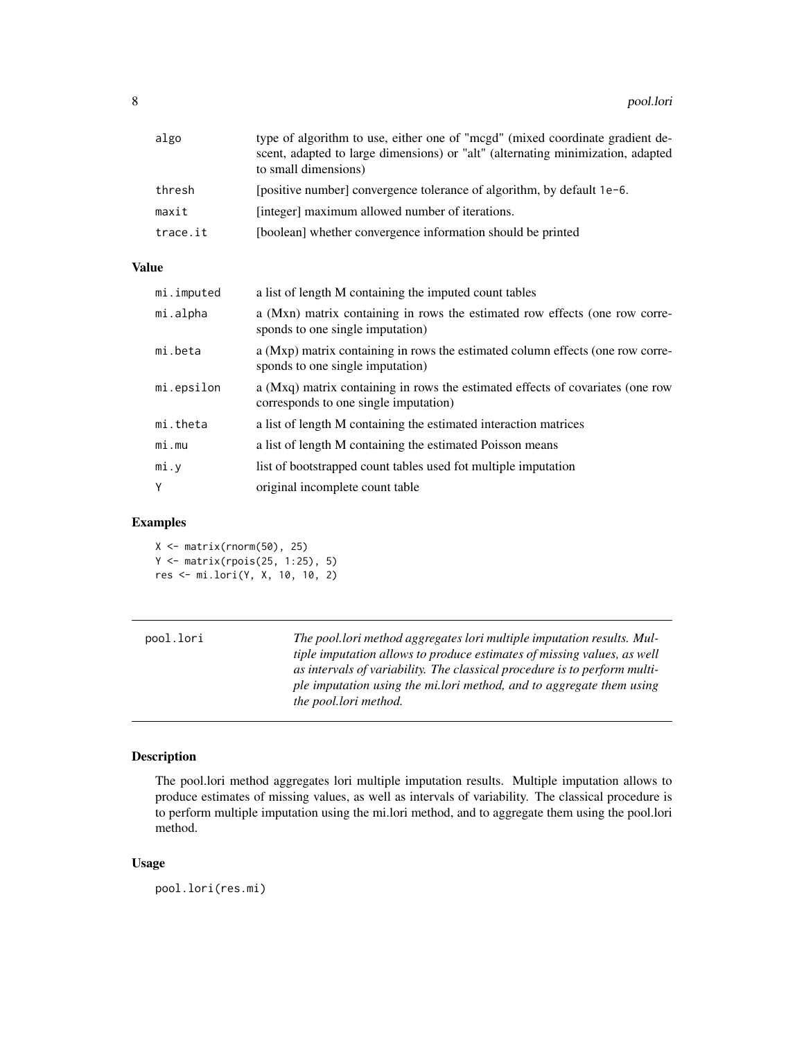<span id="page-7-0"></span>

| algo     | type of algorithm to use, either one of "mogd" (mixed coordinate gradient de-<br>scent, adapted to large dimensions) or "alt" (alternating minimization, adapted<br>to small dimensions) |
|----------|------------------------------------------------------------------------------------------------------------------------------------------------------------------------------------------|
| thresh   | [positive number] convergence tolerance of algorithm, by default 1e-6.                                                                                                                   |
| maxit    | [integer] maximum allowed number of iterations.                                                                                                                                          |
| trace.it | [boolean] whether convergence information should be printed                                                                                                                              |

# Value

| mi.imputed | a list of length M containing the imputed count tables                                                                  |
|------------|-------------------------------------------------------------------------------------------------------------------------|
| mi.alpha   | a (Mxn) matrix containing in rows the estimated row effects (one row corre-<br>sponds to one single imputation)         |
| mi.beta    | a (Mxp) matrix containing in rows the estimated column effects (one row corre-<br>sponds to one single imputation)      |
| mi.epsilon | a (Mxq) matrix containing in rows the estimated effects of covariates (one row<br>corresponds to one single imputation) |
| mi.theta   | a list of length M containing the estimated interaction matrices                                                        |
| mi.mu      | a list of length M containing the estimated Poisson means                                                               |
| mi.y       | list of bootstrapped count tables used for multiple imputation                                                          |
| Υ          | original incomplete count table                                                                                         |
|            |                                                                                                                         |

# Examples

 $X \leftarrow matrix(rnorm(50), 25)$ Y <- matrix(rpois(25, 1:25), 5) res <- mi.lori(Y, X, 10, 10, 2)

| pool.lori | The pool.lori method aggregates lori multiple imputation results. Mul-<br>tiple imputation allows to produce estimates of missing values, as well<br>as intervals of variability. The classical procedure is to perform multi- |
|-----------|--------------------------------------------------------------------------------------------------------------------------------------------------------------------------------------------------------------------------------|
|           | ple imputation using the millori method, and to aggregate them using<br>the pool.lori method.                                                                                                                                  |

# Description

The pool.lori method aggregates lori multiple imputation results. Multiple imputation allows to produce estimates of missing values, as well as intervals of variability. The classical procedure is to perform multiple imputation using the mi.lori method, and to aggregate them using the pool.lori method.

# Usage

pool.lori(res.mi)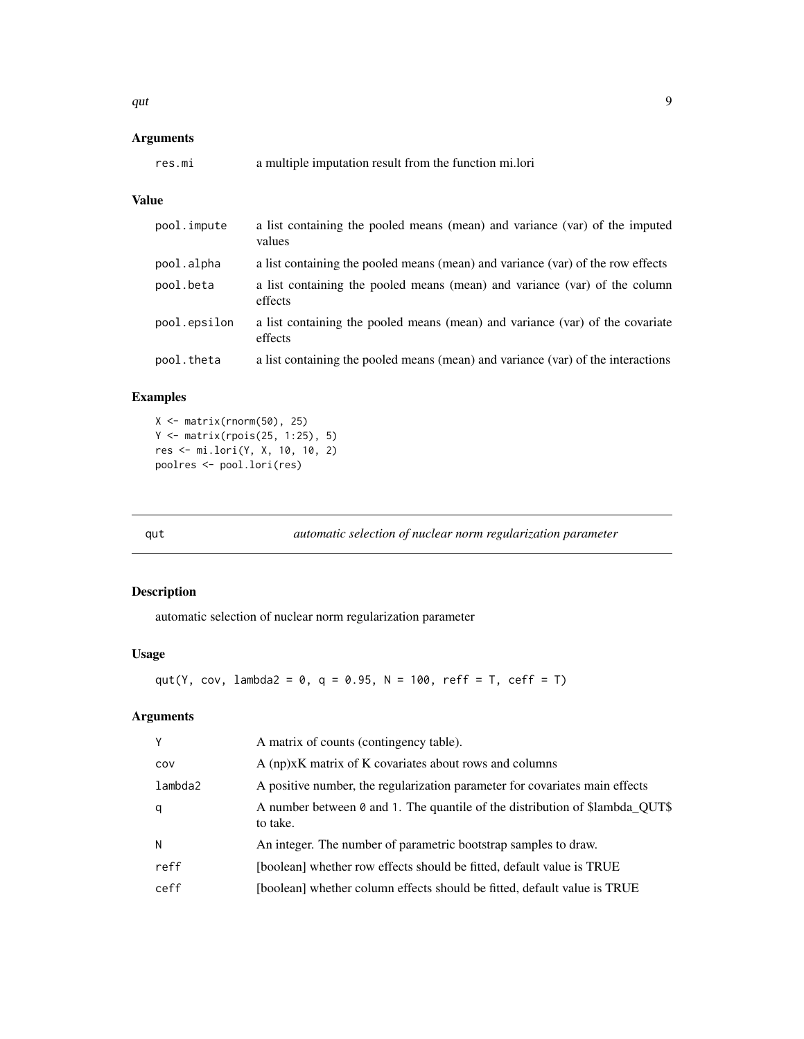<span id="page-8-0"></span>qut  $\sim$  9

# Arguments

| a multiple imputation result from the function mi.lori<br>res.mı |  |  |
|------------------------------------------------------------------|--|--|
|------------------------------------------------------------------|--|--|

# Value

| pool.impute  | a list containing the pooled means (mean) and variance (var) of the imputed<br>values    |
|--------------|------------------------------------------------------------------------------------------|
| pool.alpha   | a list containing the pooled means (mean) and variance (var) of the row effects          |
| pool.beta    | a list containing the pooled means (mean) and variance (var) of the column<br>effects    |
| pool.epsilon | a list containing the pooled means (mean) and variance (var) of the covariate<br>effects |
| pool.theta   | a list containing the pooled means (mean) and variance (var) of the interactions         |

# Examples

```
X \leftarrow matrix(rnorm(50), 25)Y <- matrix(rpois(25, 1:25), 5)
res <- mi.lori(Y, X, 10, 10, 2)
poolres <- pool.lori(res)
```
qut *automatic selection of nuclear norm regularization parameter*

# Description

automatic selection of nuclear norm regularization parameter

# Usage

```
qut(Y, cov, lambda2 = 0, q = 0.95, N = 100, reff = T, ceff = T)
```
# Arguments

| Y       | A matrix of counts (contingency table).                                                  |
|---------|------------------------------------------------------------------------------------------|
| COV     | A (np)xK matrix of K covariates about rows and columns                                   |
| lambda2 | A positive number, the regularization parameter for covariates main effects              |
| q       | A number between 0 and 1. The quantile of the distribution of \$lambda QUT\$<br>to take. |
| N       | An integer. The number of parametric bootstrap samples to draw.                          |
| reff    | [boolean] whether row effects should be fitted, default value is TRUE                    |
| ceff    | [boolean] whether column effects should be fitted, default value is TRUE                 |
|         |                                                                                          |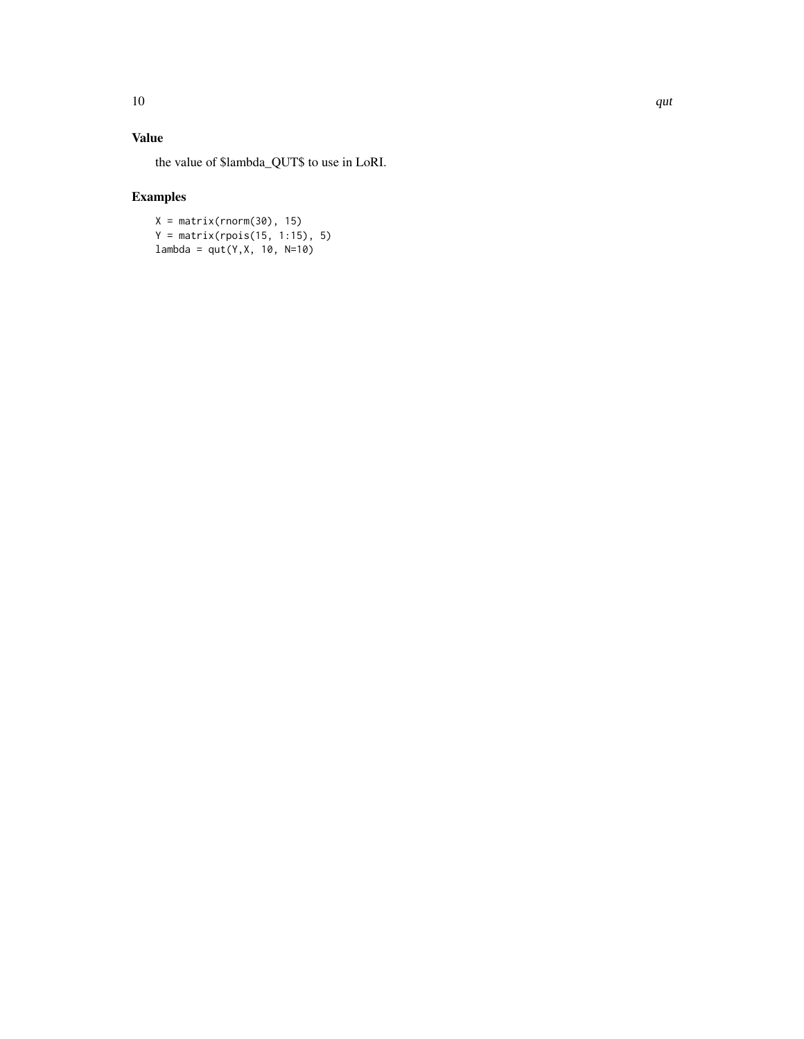# Value

the value of \$lambda\_QUT\$ to use in LoRI.

# Examples

 $X = matrix(rnorm(30), 15)$  $Y = matrix($ rpois(15, 1:15), 5)  $lambda = qut(Y, X, 10, N=10)$